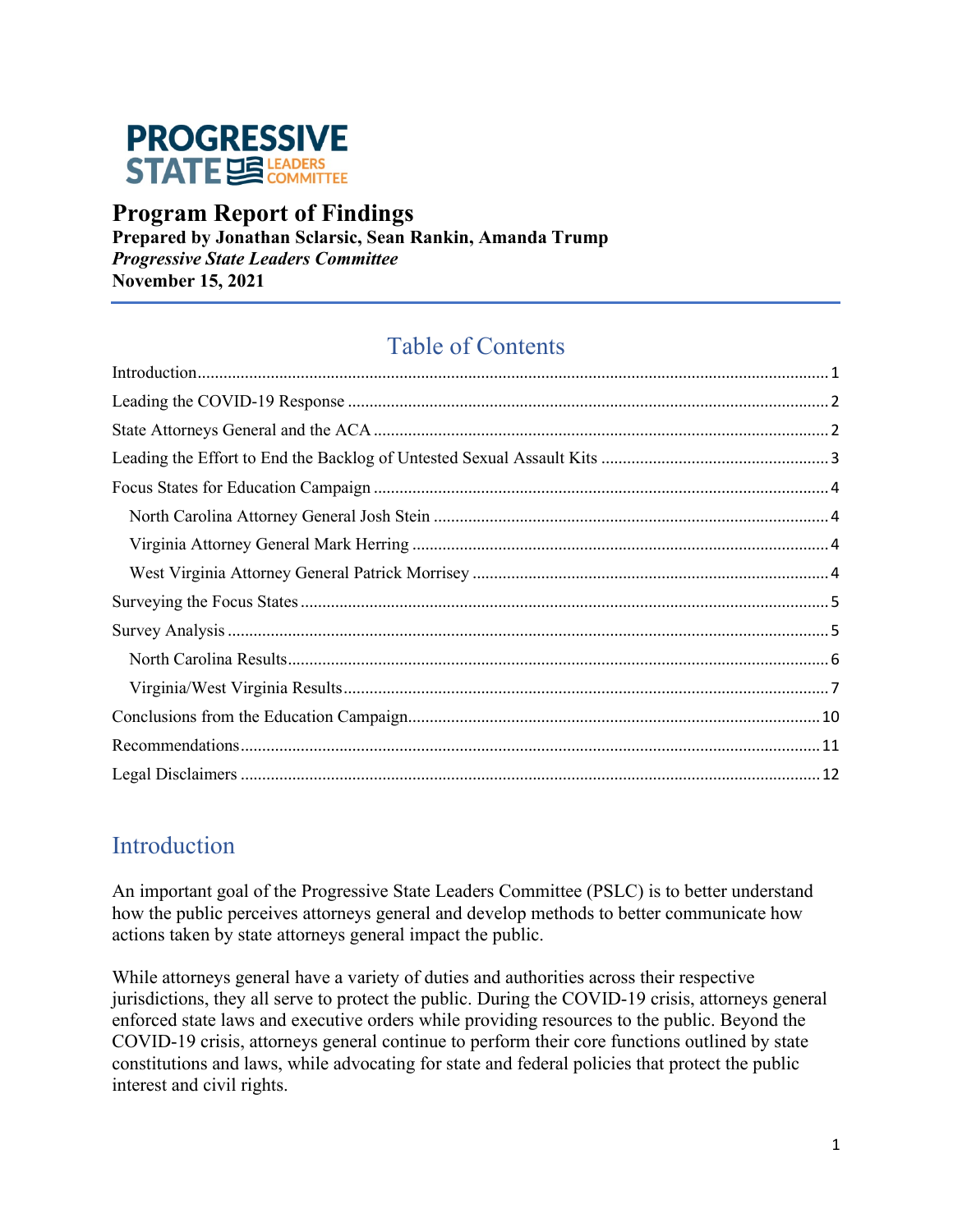

### **Program Report of Findings**

**Prepared by Jonathan Sclarsic, Sean Rankin, Amanda Trump** *Progressive State Leaders Committee* **November 15, 2021**

## Table of Contents

### <span id="page-0-0"></span>Introduction

An important goal of the Progressive State Leaders Committee (PSLC) is to better understand how the public perceives attorneys general and develop methods to better communicate how actions taken by state attorneys general impact the public.

While attorneys general have a variety of duties and authorities across their respective jurisdictions, they all serve to protect the public. During the COVID-19 crisis, attorneys general enforced state laws and executive orders while providing resources to the public. Beyond the COVID-19 crisis, attorneys general continue to perform their core functions outlined by state constitutions and laws, while advocating for state and federal policies that protect the public interest and civil rights.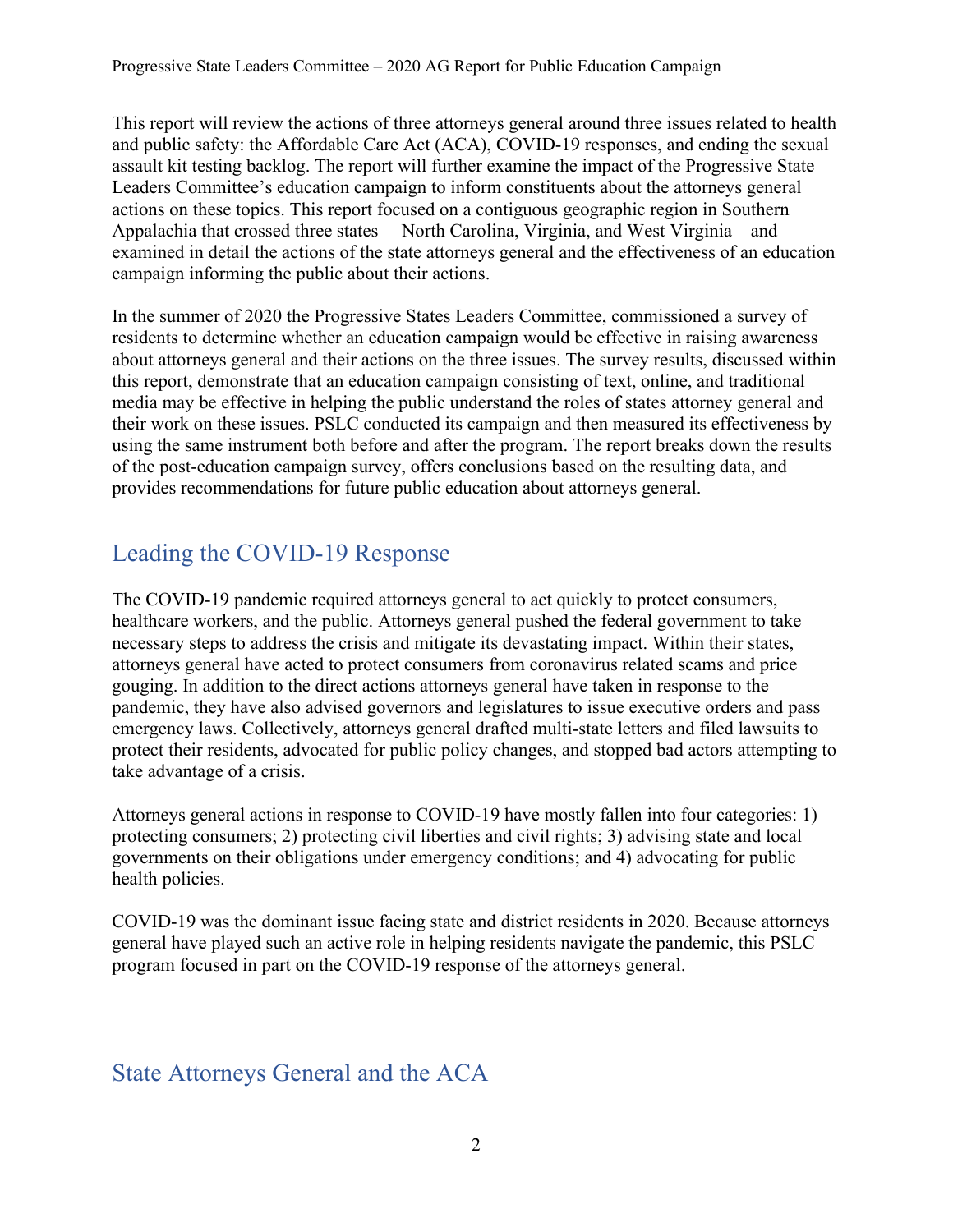This report will review the actions of three attorneys general around three issues related to health and public safety: the Affordable Care Act (ACA), COVID-19 responses, and ending the sexual assault kit testing backlog. The report will further examine the impact of the Progressive State Leaders Committee's education campaign to inform constituents about the attorneys general actions on these topics. This report focused on a contiguous geographic region in Southern Appalachia that crossed three states —North Carolina, Virginia, and West Virginia—and examined in detail the actions of the state attorneys general and the effectiveness of an education campaign informing the public about their actions.

In the summer of 2020 the Progressive States Leaders Committee, commissioned a survey of residents to determine whether an education campaign would be effective in raising awareness about attorneys general and their actions on the three issues. The survey results, discussed within this report, demonstrate that an education campaign consisting of text, online, and traditional media may be effective in helping the public understand the roles of states attorney general and their work on these issues. PSLC conducted its campaign and then measured its effectiveness by using the same instrument both before and after the program. The report breaks down the results of the post-education campaign survey, offers conclusions based on the resulting data, and provides recommendations for future public education about attorneys general.

# <span id="page-1-0"></span>Leading the COVID-19 Response

The COVID-19 pandemic required attorneys general to act quickly to protect consumers, healthcare workers, and the public. Attorneys general pushed the federal government to take necessary steps to address the crisis and mitigate its devastating impact. Within their states, attorneys general have acted to protect consumers from coronavirus related scams and price gouging. In addition to the direct actions attorneys general have taken in response to the pandemic, they have also advised governors and legislatures to issue executive orders and pass emergency laws. Collectively, attorneys general drafted multi-state letters and filed lawsuits to protect their residents, advocated for public policy changes, and stopped bad actors attempting to take advantage of a crisis.

Attorneys general actions in response to COVID-19 have mostly fallen into four categories: 1) protecting consumers; 2) protecting civil liberties and civil rights; 3) advising state and local governments on their obligations under emergency conditions; and 4) advocating for public health policies.

COVID-19 was the dominant issue facing state and district residents in 2020. Because attorneys general have played such an active role in helping residents navigate the pandemic, this PSLC program focused in part on the COVID-19 response of the attorneys general.

## <span id="page-1-1"></span>State Attorneys General and the ACA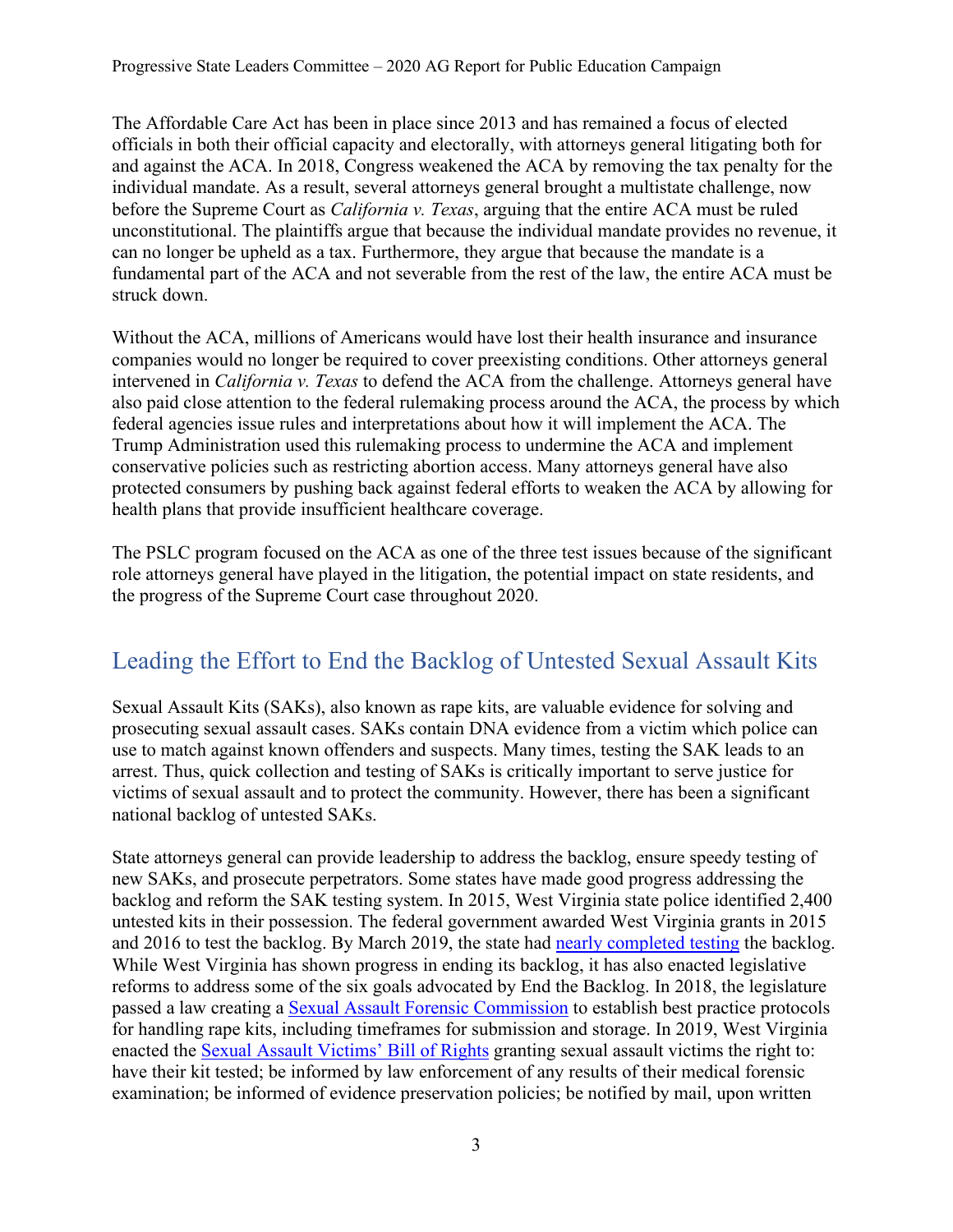The Affordable Care Act has been in place since 2013 and has remained a focus of elected officials in both their official capacity and electorally, with attorneys general litigating both for and against the ACA. In 2018, Congress weakened the ACA by removing the tax penalty for the individual mandate. As a result, several attorneys general brought a multistate challenge, now before the Supreme Court as *California v. Texas*, arguing that the entire ACA must be ruled unconstitutional. The plaintiffs argue that because the individual mandate provides no revenue, it can no longer be upheld as a tax. Furthermore, they argue that because the mandate is a fundamental part of the ACA and not severable from the rest of the law, the entire ACA must be struck down.

Without the ACA, millions of Americans would have lost their health insurance and insurance companies would no longer be required to cover preexisting conditions. Other attorneys general intervened in *California v. Texas* to defend the ACA from the challenge. Attorneys general have also paid close attention to the federal rulemaking process around the ACA, the process by which federal agencies issue rules and interpretations about how it will implement the ACA. The Trump Administration used this rulemaking process to undermine the ACA and implement conservative policies such as restricting abortion access. Many attorneys general have also protected consumers by pushing back against federal efforts to weaken the ACA by allowing for health plans that provide insufficient healthcare coverage.

The PSLC program focused on the ACA as one of the three test issues because of the significant role attorneys general have played in the litigation, the potential impact on state residents, and the progress of the Supreme Court case throughout 2020.

# <span id="page-2-0"></span>Leading the Effort to End the Backlog of Untested Sexual Assault Kits

Sexual Assault Kits (SAKs), also known as rape kits, are valuable evidence for solving and prosecuting sexual assault cases. SAKs contain DNA evidence from a victim which police can use to match against known offenders and suspects. Many times, testing the SAK leads to an arrest. Thus, quick collection and testing of SAKs is critically important to serve justice for victims of sexual assault and to protect the community. However, there has been a significant national backlog of untested SAKs.

State attorneys general can provide leadership to address the backlog, ensure speedy testing of new SAKs, and prosecute perpetrators. Some states have made good progress addressing the backlog and reform the SAK testing system. In 2015, West Virginia state police identified 2,400 untested kits in their possession. The federal government awarded West Virginia grants in 2015 and 2016 to test the backlog. By March 2019, the state had [nearly completed testing](https://www.wvgazettemail.com/news/legal_affairs/state-says-sexual-assault-kit-backlog-nearly-gone/article_76745299-cd40-5486-837a-feeadf928d89.html) the backlog. While West Virginia has shown progress in ending its backlog, it has also enacted legislative reforms to address some of the six goals advocated by End the Backlog. In 2018, the legislature passed a law creating a [Sexual Assault Forensic Commission](http://www.wvlegislature.gov/Bill_Status/Bills_history.cfm?input=36&year=2018&sessiontype=RS&btype=bill) to establish best practice protocols for handling rape kits, including timeframes for submission and storage. In 2019, West Virginia enacted the [Sexual Assault Victims'](http://www.wvlegislature.gov/Bill_Text_HTML/2019_SESSIONS/RS/bills/SB72%20SUB1%20ENR.pdf) Bill of Rights granting sexual assault victims the right to: have their kit tested; be informed by law enforcement of any results of their medical forensic examination; be informed of evidence preservation policies; be notified by mail, upon written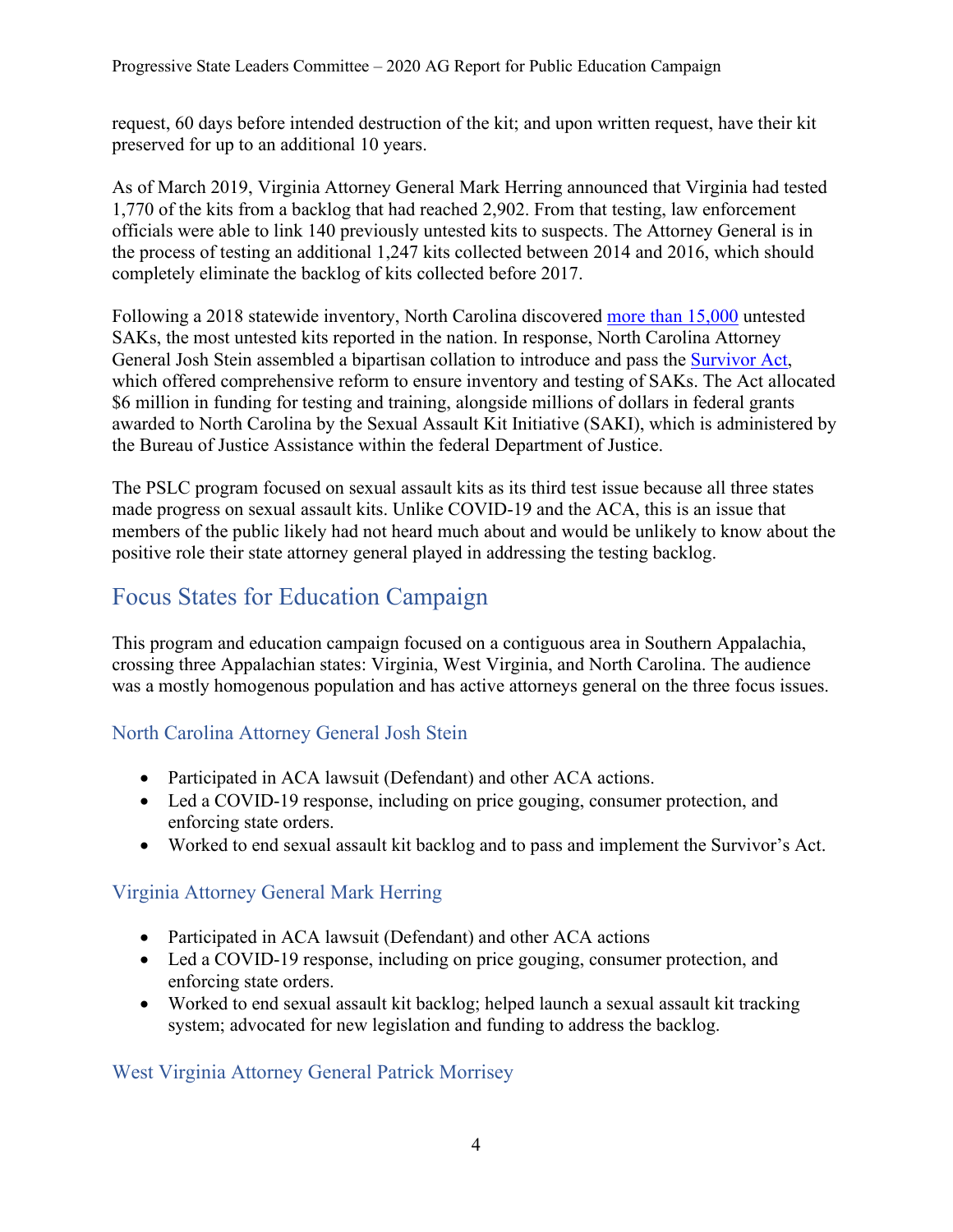Progressive State Leaders Committee – 2020 AG Report for Public Education Campaign

request, 60 days before intended destruction of the kit; and upon written request, have their kit preserved for up to an additional 10 years.

As of March 2019, Virginia Attorney General Mark Herring announced that Virginia had tested 1,770 of the kits from a backlog that had reached 2,902. From that testing, law enforcement officials were able to link 140 previously untested kits to suspects. The Attorney General is in the process of testing an additional 1,247 kits collected between 2014 and 2016, which should completely eliminate the backlog of kits collected before 2017.

Following a 2018 statewide inventory, North Carolina discovered [more than 15,000](https://www.newsobserver.com/news/local/crime/article203795399.html) untested SAKs, the most untested kits reported in the nation. In response, North Carolina Attorney General Josh Stein assembled a bipartisan collation to introduce and pass the [Survivor Act,](https://www.ncleg.gov/BillLookup/2019/H29) which offered comprehensive reform to ensure inventory and testing of SAKs. The Act allocated \$6 million in funding for testing and training, alongside millions of dollars in federal grants awarded to North Carolina by the Sexual Assault Kit Initiative (SAKI), which is administered by the Bureau of Justice Assistance within the federal Department of Justice.

The PSLC program focused on sexual assault kits as its third test issue because all three states made progress on sexual assault kits. Unlike COVID-19 and the ACA, this is an issue that members of the public likely had not heard much about and would be unlikely to know about the positive role their state attorney general played in addressing the testing backlog.

# <span id="page-3-0"></span>Focus States for Education Campaign

This program and education campaign focused on a contiguous area in Southern Appalachia, crossing three Appalachian states: Virginia, West Virginia, and North Carolina. The audience was a mostly homogenous population and has active attorneys general on the three focus issues.

### <span id="page-3-1"></span>North Carolina Attorney General Josh Stein

- Participated in ACA lawsuit (Defendant) and other ACA actions.
- Led a COVID-19 response, including on price gouging, consumer protection, and enforcing state orders.
- Worked to end sexual assault kit backlog and to pass and implement the Survivor's Act.

### <span id="page-3-2"></span>Virginia Attorney General Mark Herring

- Participated in ACA lawsuit (Defendant) and other ACA actions
- Led a COVID-19 response, including on price gouging, consumer protection, and enforcing state orders.
- Worked to end sexual assault kit backlog; helped launch a sexual assault kit tracking system; advocated for new legislation and funding to address the backlog.

### <span id="page-3-3"></span>West Virginia Attorney General Patrick Morrisey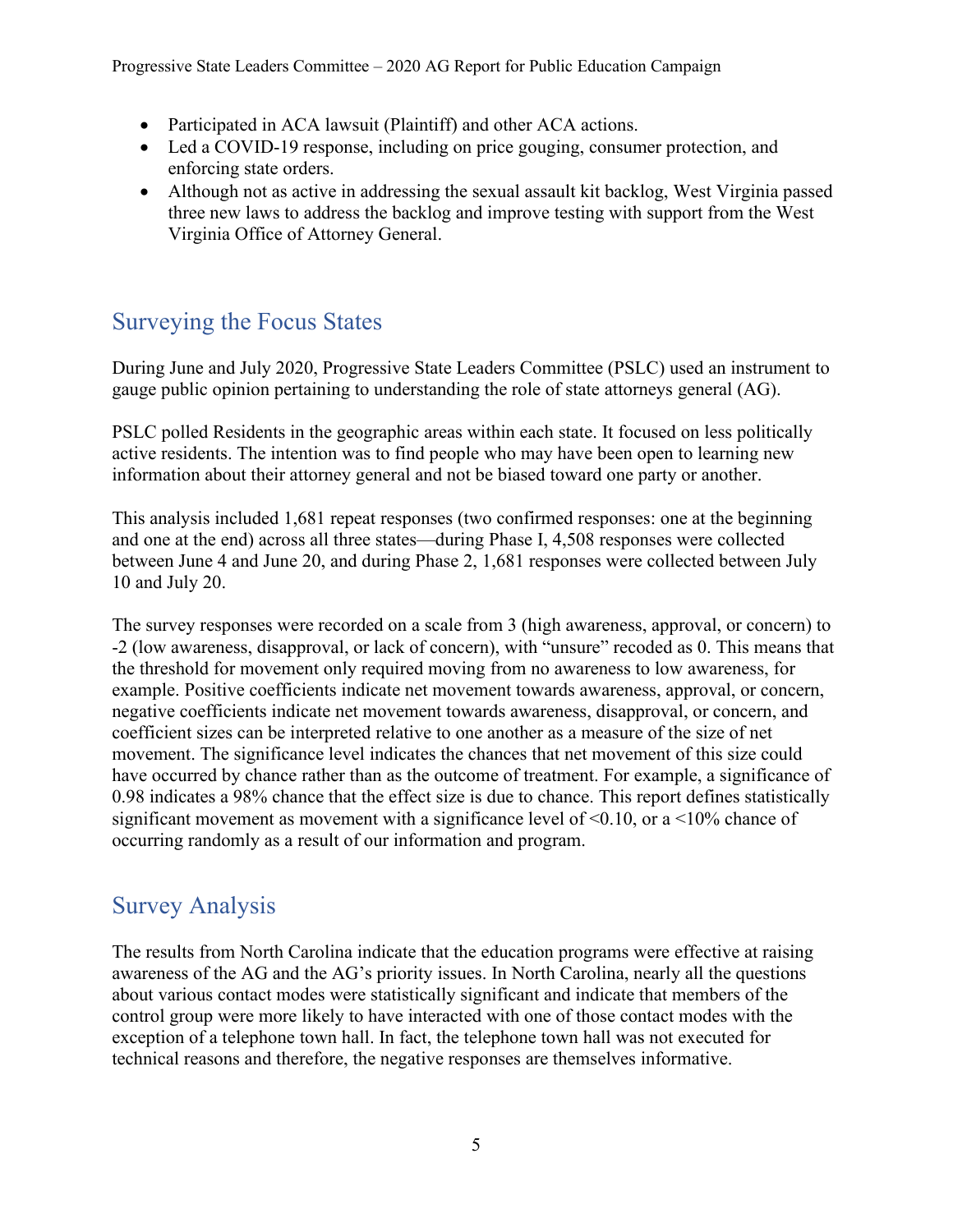- Participated in ACA lawsuit (Plaintiff) and other ACA actions.
- Led a COVID-19 response, including on price gouging, consumer protection, and enforcing state orders.
- Although not as active in addressing the sexual assault kit backlog, West Virginia passed three new laws to address the backlog and improve testing with support from the West Virginia Office of Attorney General.

# <span id="page-4-0"></span>Surveying the Focus States

During June and July 2020, Progressive State Leaders Committee (PSLC) used an instrument to gauge public opinion pertaining to understanding the role of state attorneys general (AG).

PSLC polled Residents in the geographic areas within each state. It focused on less politically active residents. The intention was to find people who may have been open to learning new information about their attorney general and not be biased toward one party or another.

This analysis included 1,681 repeat responses (two confirmed responses: one at the beginning and one at the end) across all three states—during Phase I, 4,508 responses were collected between June 4 and June 20, and during Phase 2, 1,681 responses were collected between July 10 and July 20.

The survey responses were recorded on a scale from 3 (high awareness, approval, or concern) to -2 (low awareness, disapproval, or lack of concern), with "unsure" recoded as 0. This means that the threshold for movement only required moving from no awareness to low awareness, for example. Positive coefficients indicate net movement towards awareness, approval, or concern, negative coefficients indicate net movement towards awareness, disapproval, or concern, and coefficient sizes can be interpreted relative to one another as a measure of the size of net movement. The significance level indicates the chances that net movement of this size could have occurred by chance rather than as the outcome of treatment. For example, a significance of 0.98 indicates a 98% chance that the effect size is due to chance. This report defines statistically significant movement as movement with a significance level of  $\leq 0.10$ , or a  $\leq 10\%$  chance of occurring randomly as a result of our information and program.

# <span id="page-4-1"></span>Survey Analysis

The results from North Carolina indicate that the education programs were effective at raising awareness of the AG and the AG's priority issues. In North Carolina, nearly all the questions about various contact modes were statistically significant and indicate that members of the control group were more likely to have interacted with one of those contact modes with the exception of a telephone town hall. In fact, the telephone town hall was not executed for technical reasons and therefore, the negative responses are themselves informative.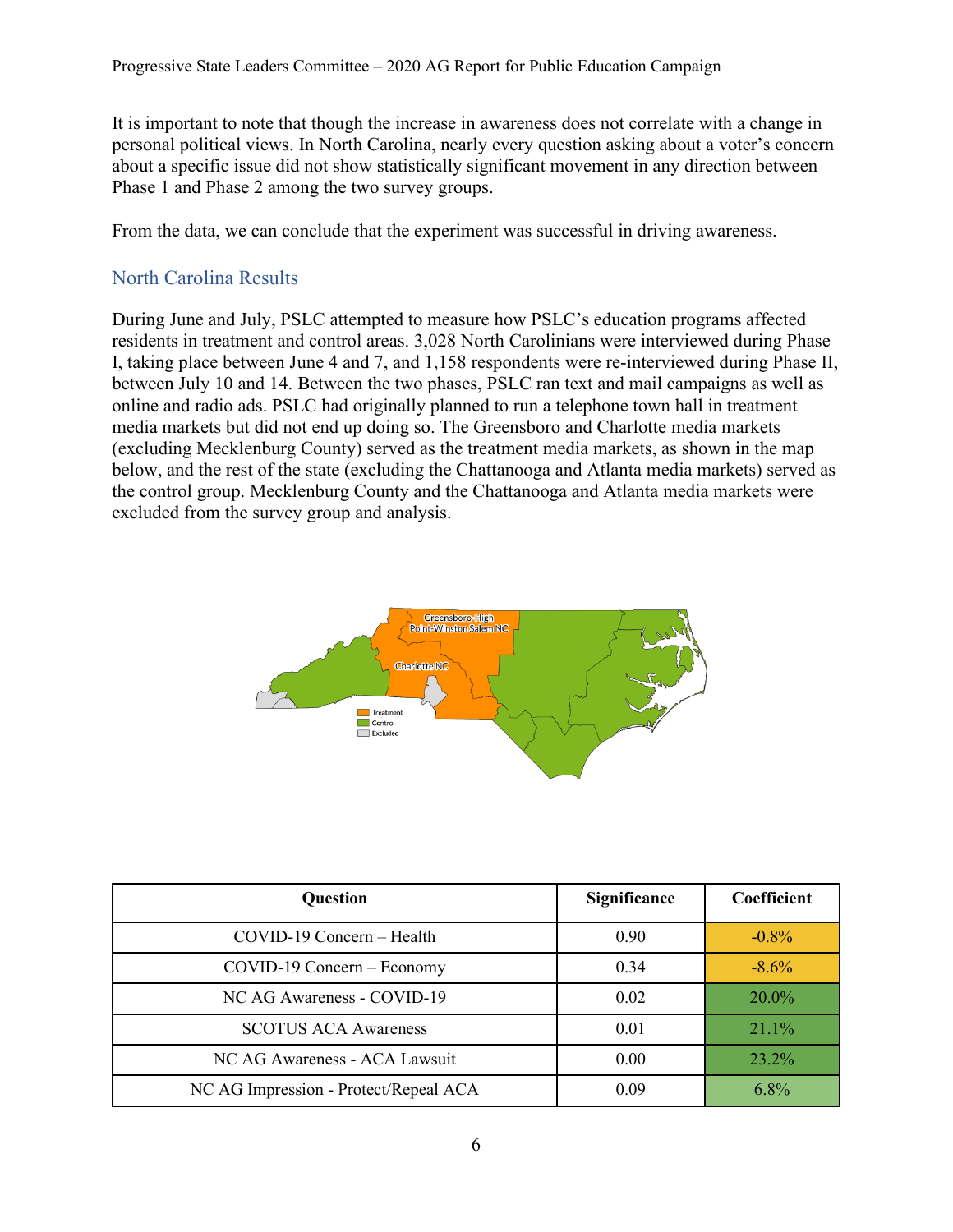It is important to note that though the increase in awareness does not correlate with a change in personal political views. In North Carolina, nearly every question asking about a voter's concern about a specific issue did not show statistically significant movement in any direction between Phase 1 and Phase 2 among the two survey groups.

From the data, we can conclude that the experiment was successful in driving awareness.

#### <span id="page-5-0"></span>North Carolina Results

During June and July, PSLC attempted to measure how PSLC's education programs affected residents in treatment and control areas. 3,028 North Carolinians were interviewed during Phase I, taking place between June 4 and 7, and 1,158 respondents were re-interviewed during Phase II, between July 10 and 14. Between the two phases, PSLC ran text and mail campaigns as well as online and radio ads. PSLC had originally planned to run a telephone town hall in treatment media markets but did not end up doing so. The Greensboro and Charlotte media markets (excluding Mecklenburg County) served as the treatment media markets, as shown in the map below, and the rest of the state (excluding the Chattanooga and Atlanta media markets) served as the control group. Mecklenburg County and the Chattanooga and Atlanta media markets were excluded from the survey group and analysis.



| <b>Question</b>                       | Significance | Coefficient |
|---------------------------------------|--------------|-------------|
| COVID-19 Concern - Health             | 0.90         | $-0.8%$     |
| $COVID-19$ Concern – Economy          | 0.34         | $-8.6\%$    |
| NC AG Awareness - COVID-19            | 0.02         | 20.0%       |
| <b>SCOTUS ACA Awareness</b>           | 0.01         | 21.1%       |
| NC AG Awareness - ACA Lawsuit         | 0.00         | 23.2%       |
| NC AG Impression - Protect/Repeal ACA | 0.09         | $6.8\%$     |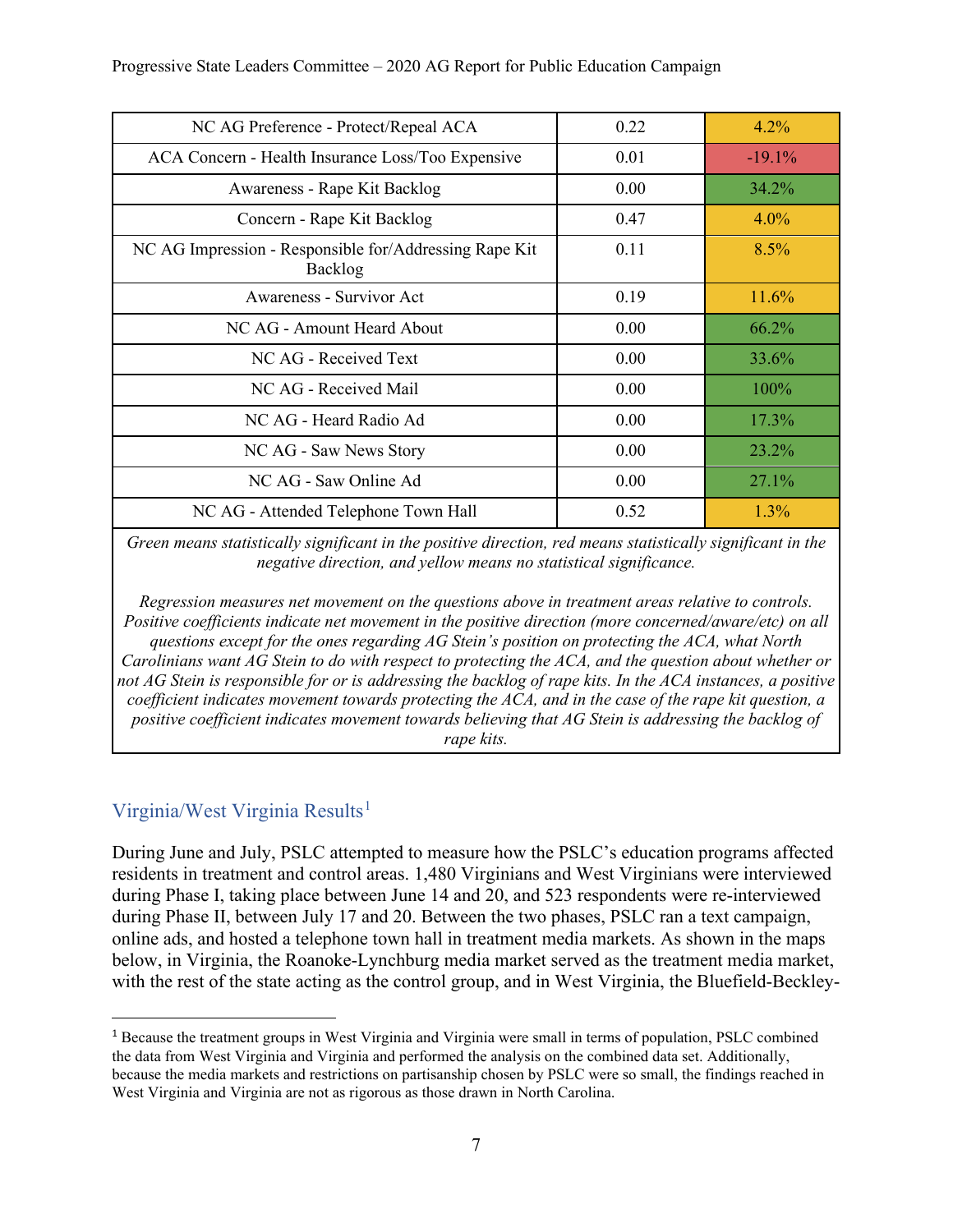| NC AG Preference - Protect/Repeal ACA                             | 0.22 | 4.2%     |
|-------------------------------------------------------------------|------|----------|
| ACA Concern - Health Insurance Loss/Too Expensive                 | 0.01 | $-19.1%$ |
| Awareness - Rape Kit Backlog                                      | 0.00 | 34.2%    |
| Concern - Rape Kit Backlog                                        | 0.47 | $4.0\%$  |
| NC AG Impression - Responsible for/Addressing Rape Kit<br>Backlog | 0.11 | 8.5%     |
| Awareness - Survivor Act                                          | 0.19 | 11.6%    |
| NC AG - Amount Heard About                                        | 0.00 | 66.2%    |
| NC AG - Received Text                                             | 0.00 | 33.6%    |
| NC AG - Received Mail                                             | 0.00 | 100%     |
| NC AG - Heard Radio Ad                                            | 0.00 | 17.3%    |
| NC AG - Saw News Story                                            | 0.00 | 23.2%    |
| NC AG - Saw Online Ad                                             | 0.00 | 27.1%    |
| NC AG - Attended Telephone Town Hall                              | 0.52 | $1.3\%$  |

*Green means statistically significant in the positive direction, red means statistically significant in the negative direction, and yellow means no statistical significance.*

*Regression measures net movement on the questions above in treatment areas relative to controls. Positive coefficients indicate net movement in the positive direction (more concerned/aware/etc) on all questions except for the ones regarding AG Stein's position on protecting the ACA, what North Carolinians want AG Stein to do with respect to protecting the ACA, and the question about whether or not AG Stein is responsible for or is addressing the backlog of rape kits. In the ACA instances, a positive coefficient indicates movement towards protecting the ACA, and in the case of the rape kit question, a positive coefficient indicates movement towards believing that AG Stein is addressing the backlog of rape kits.*

#### <span id="page-6-0"></span>Virginia/West Virginia Results<sup>[1](#page-6-1)</sup>

During June and July, PSLC attempted to measure how the PSLC's education programs affected residents in treatment and control areas. 1,480 Virginians and West Virginians were interviewed during Phase I, taking place between June 14 and 20, and 523 respondents were re-interviewed during Phase II, between July 17 and 20. Between the two phases, PSLC ran a text campaign, online ads, and hosted a telephone town hall in treatment media markets. As shown in the maps below, in Virginia, the Roanoke-Lynchburg media market served as the treatment media market, with the rest of the state acting as the control group, and in West Virginia, the Bluefield-Beckley-

<span id="page-6-1"></span><sup>&</sup>lt;sup>1</sup> Because the treatment groups in West Virginia and Virginia were small in terms of population, PSLC combined the data from West Virginia and Virginia and performed the analysis on the combined data set. Additionally, because the media markets and restrictions on partisanship chosen by PSLC were so small, the findings reached in West Virginia and Virginia are not as rigorous as those drawn in North Carolina.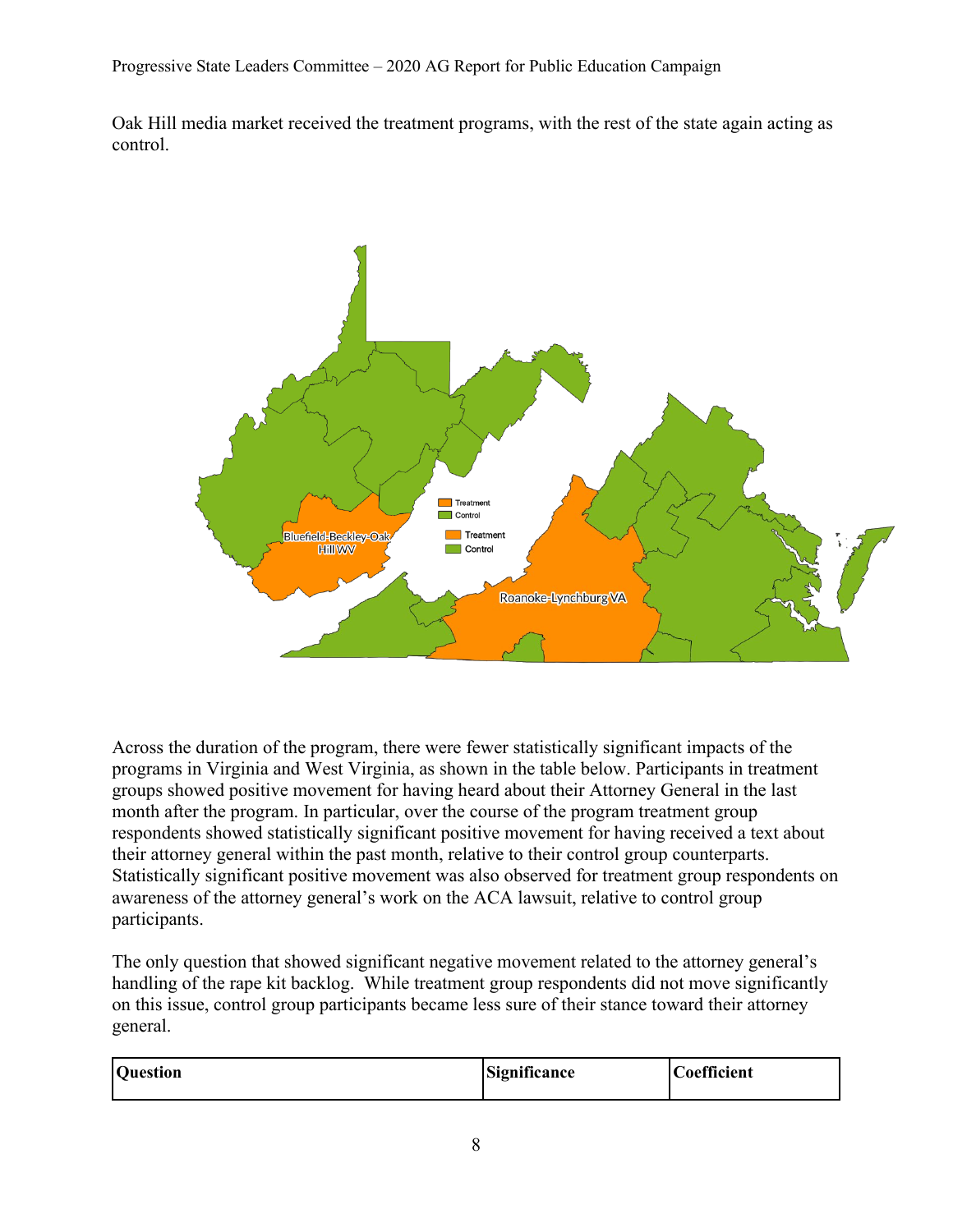Progressive State Leaders Committee – 2020 AG Report for Public Education Campaign

Oak Hill media market received the treatment programs, with the rest of the state again acting as control.



Across the duration of the program, there were fewer statistically significant impacts of the programs in Virginia and West Virginia, as shown in the table below. Participants in treatment groups showed positive movement for having heard about their Attorney General in the last month after the program. In particular, over the course of the program treatment group respondents showed statistically significant positive movement for having received a text about their attorney general within the past month, relative to their control group counterparts. Statistically significant positive movement was also observed for treatment group respondents on awareness of the attorney general's work on the ACA lawsuit, relative to control group participants.

The only question that showed significant negative movement related to the attorney general's handling of the rape kit backlog. While treatment group respondents did not move significantly on this issue, control group participants became less sure of their stance toward their attorney general.

| <b>Question</b> | Significance | Coefficient |
|-----------------|--------------|-------------|
|                 |              |             |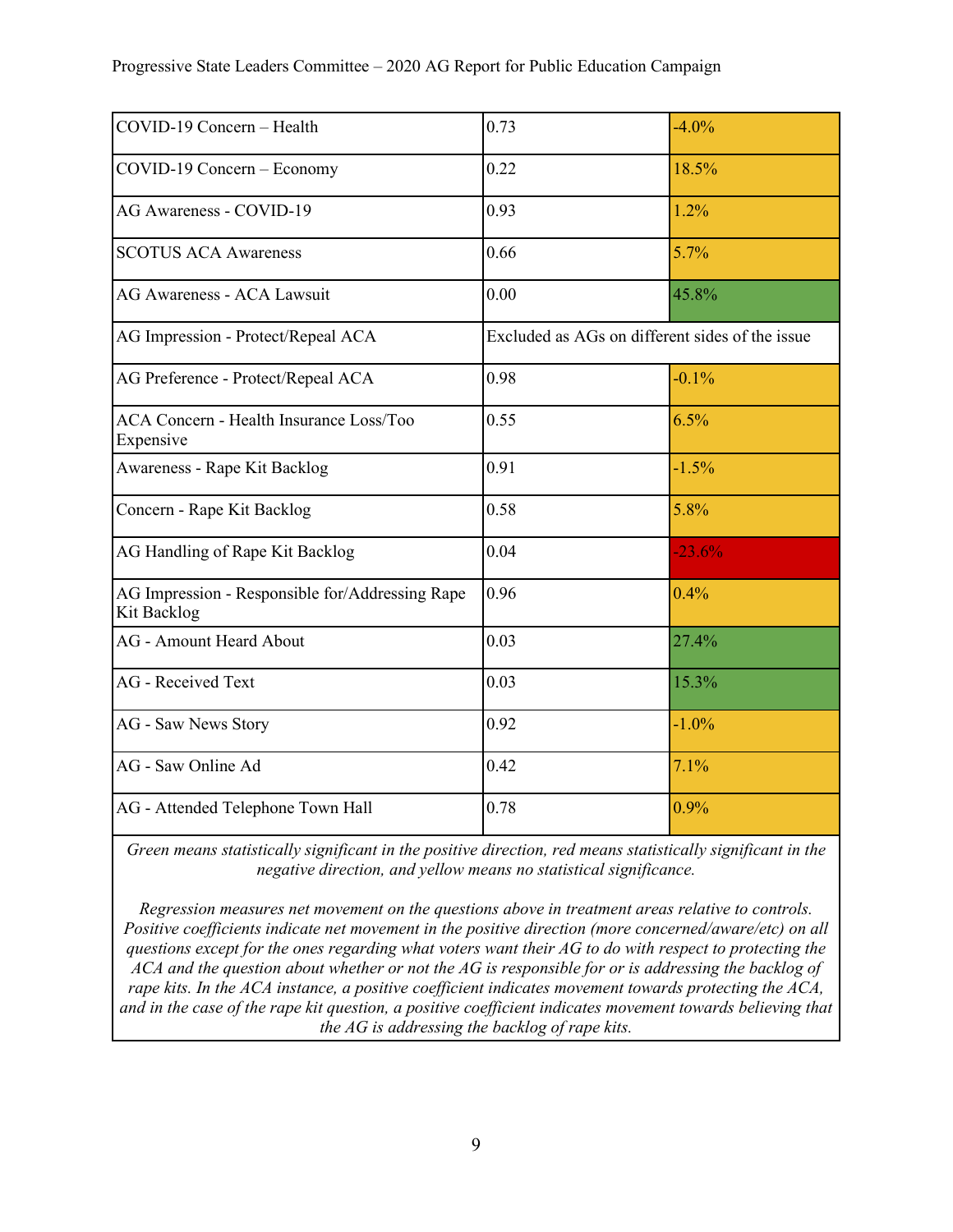| COVID-19 Concern - Health                                      | 0.73                                            | $-4.0\%$ |
|----------------------------------------------------------------|-------------------------------------------------|----------|
| COVID-19 Concern - Economy                                     | 0.22                                            | 18.5%    |
| AG Awareness - COVID-19                                        | 0.93                                            | 1.2%     |
| <b>SCOTUS ACA Awareness</b>                                    | 0.66                                            | 5.7%     |
| AG Awareness - ACA Lawsuit                                     | 0.00                                            | 45.8%    |
| AG Impression - Protect/Repeal ACA                             | Excluded as AGs on different sides of the issue |          |
| AG Preference - Protect/Repeal ACA                             | 0.98                                            | $-0.1\%$ |
| <b>ACA Concern - Health Insurance Loss/Too</b><br>Expensive    | 0.55                                            | 6.5%     |
| Awareness - Rape Kit Backlog                                   | 0.91                                            | $-1.5%$  |
| Concern - Rape Kit Backlog                                     | 0.58                                            | 5.8%     |
| AG Handling of Rape Kit Backlog                                | 0.04                                            | $-23.6%$ |
| AG Impression - Responsible for/Addressing Rape<br>Kit Backlog | 0.96                                            | 0.4%     |
| <b>AG</b> - Amount Heard About                                 | 0.03                                            | 27.4%    |
| <b>AG</b> - Received Text                                      | 0.03                                            | 15.3%    |
| AG - Saw News Story                                            | 0.92                                            | $-1.0%$  |
| AG - Saw Online Ad                                             | 0.42                                            | 7.1%     |
| AG - Attended Telephone Town Hall                              | 0.78                                            | 0.9%     |

*Green means statistically significant in the positive direction, red means statistically significant in the negative direction, and yellow means no statistical significance.*

*Regression measures net movement on the questions above in treatment areas relative to controls. Positive coefficients indicate net movement in the positive direction (more concerned/aware/etc) on all questions except for the ones regarding what voters want their AG to do with respect to protecting the ACA and the question about whether or not the AG is responsible for or is addressing the backlog of rape kits. In the ACA instance, a positive coefficient indicates movement towards protecting the ACA, and in the case of the rape kit question, a positive coefficient indicates movement towards believing that the AG is addressing the backlog of rape kits.*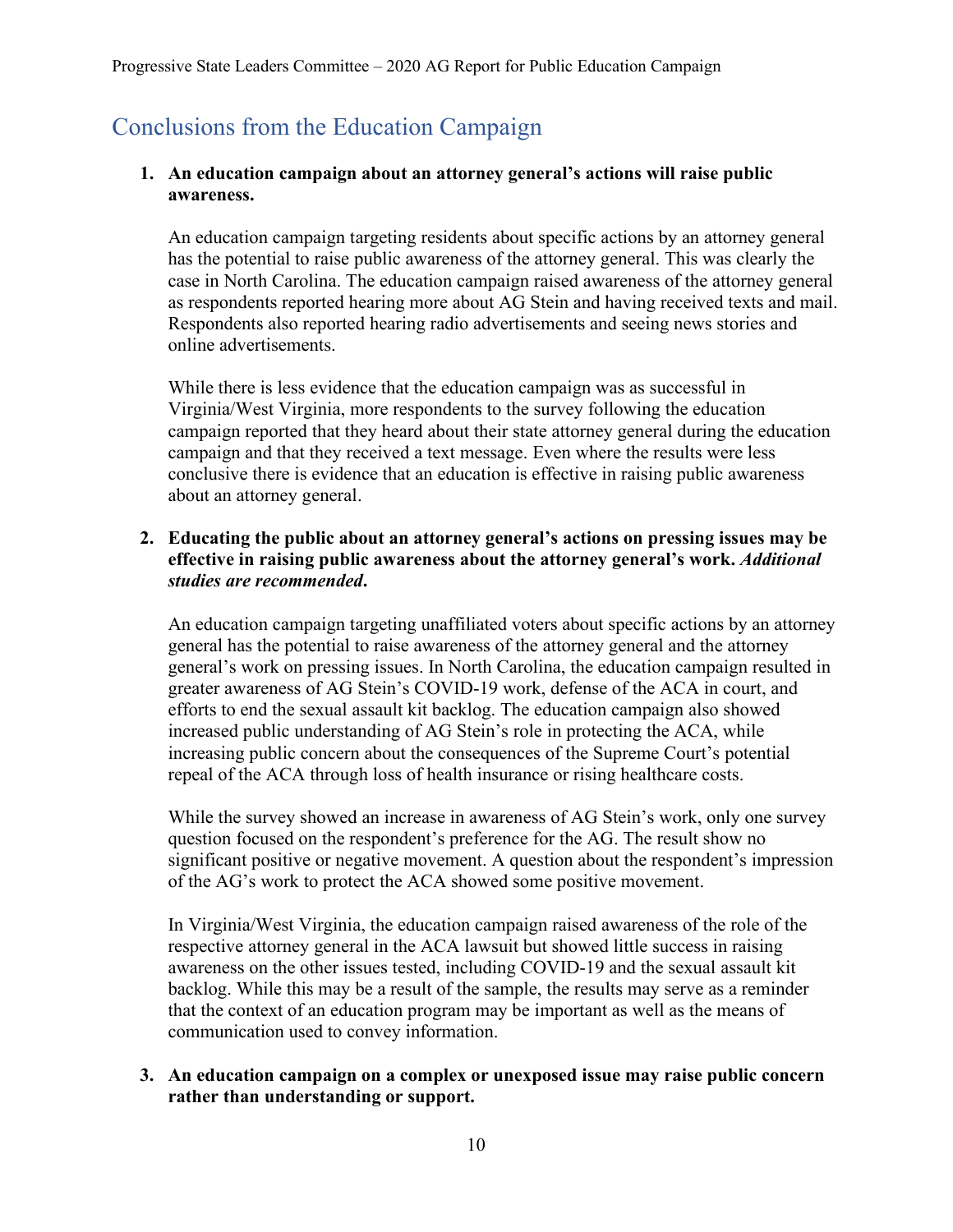# <span id="page-9-0"></span>Conclusions from the Education Campaign

#### **1. An education campaign about an attorney general's actions will raise public awareness.**

An education campaign targeting residents about specific actions by an attorney general has the potential to raise public awareness of the attorney general. This was clearly the case in North Carolina. The education campaign raised awareness of the attorney general as respondents reported hearing more about AG Stein and having received texts and mail. Respondents also reported hearing radio advertisements and seeing news stories and online advertisements.

While there is less evidence that the education campaign was as successful in Virginia/West Virginia, more respondents to the survey following the education campaign reported that they heard about their state attorney general during the education campaign and that they received a text message. Even where the results were less conclusive there is evidence that an education is effective in raising public awareness about an attorney general.

#### **2. Educating the public about an attorney general's actions on pressing issues may be effective in raising public awareness about the attorney general's work.** *Additional studies are recommended***.**

An education campaign targeting unaffiliated voters about specific actions by an attorney general has the potential to raise awareness of the attorney general and the attorney general's work on pressing issues. In North Carolina, the education campaign resulted in greater awareness of AG Stein's COVID-19 work, defense of the ACA in court, and efforts to end the sexual assault kit backlog. The education campaign also showed increased public understanding of AG Stein's role in protecting the ACA, while increasing public concern about the consequences of the Supreme Court's potential repeal of the ACA through loss of health insurance or rising healthcare costs.

While the survey showed an increase in awareness of AG Stein's work, only one survey question focused on the respondent's preference for the AG. The result show no significant positive or negative movement. A question about the respondent's impression of the AG's work to protect the ACA showed some positive movement.

In Virginia/West Virginia, the education campaign raised awareness of the role of the respective attorney general in the ACA lawsuit but showed little success in raising awareness on the other issues tested, including COVID-19 and the sexual assault kit backlog. While this may be a result of the sample, the results may serve as a reminder that the context of an education program may be important as well as the means of communication used to convey information.

#### **3. An education campaign on a complex or unexposed issue may raise public concern rather than understanding or support.**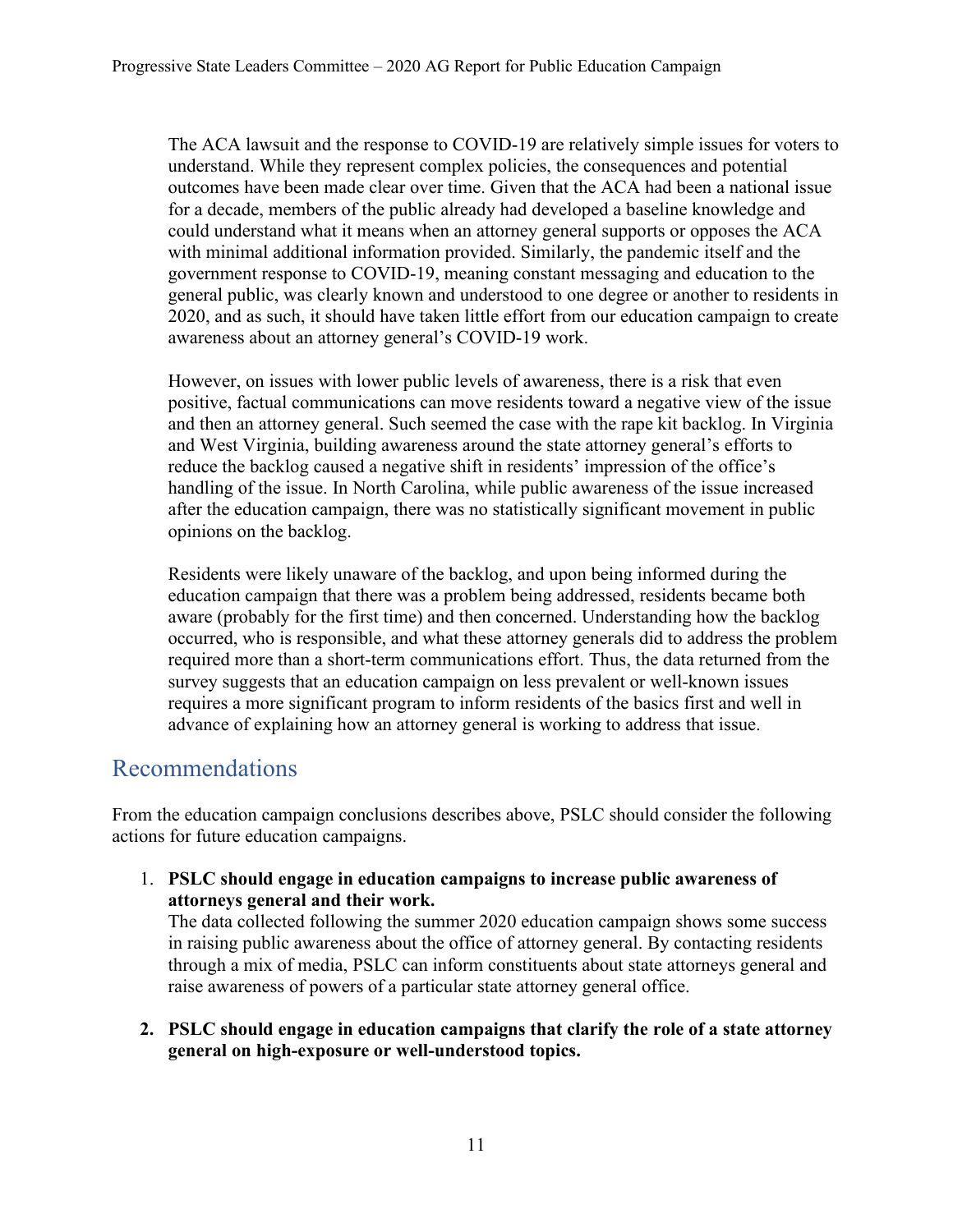The ACA lawsuit and the response to COVID-19 are relatively simple issues for voters to understand. While they represent complex policies, the consequences and potential outcomes have been made clear over time. Given that the ACA had been a national issue for a decade, members of the public already had developed a baseline knowledge and could understand what it means when an attorney general supports or opposes the ACA with minimal additional information provided. Similarly, the pandemic itself and the government response to COVID-19, meaning constant messaging and education to the general public, was clearly known and understood to one degree or another to residents in 2020, and as such, it should have taken little effort from our education campaign to create awareness about an attorney general's COVID-19 work.

However, on issues with lower public levels of awareness, there is a risk that even positive, factual communications can move residents toward a negative view of the issue and then an attorney general. Such seemed the case with the rape kit backlog. In Virginia and West Virginia, building awareness around the state attorney general's efforts to reduce the backlog caused a negative shift in residents' impression of the office's handling of the issue. In North Carolina, while public awareness of the issue increased after the education campaign, there was no statistically significant movement in public opinions on the backlog.

Residents were likely unaware of the backlog, and upon being informed during the education campaign that there was a problem being addressed, residents became both aware (probably for the first time) and then concerned. Understanding how the backlog occurred, who is responsible, and what these attorney generals did to address the problem required more than a short-term communications effort. Thus, the data returned from the survey suggests that an education campaign on less prevalent or well-known issues requires a more significant program to inform residents of the basics first and well in advance of explaining how an attorney general is working to address that issue.

## <span id="page-10-0"></span>Recommendations

From the education campaign conclusions describes above, PSLC should consider the following actions for future education campaigns.

1. **PSLC should engage in education campaigns to increase public awareness of attorneys general and their work.**

The data collected following the summer 2020 education campaign shows some success in raising public awareness about the office of attorney general. By contacting residents through a mix of media, PSLC can inform constituents about state attorneys general and raise awareness of powers of a particular state attorney general office.

**2. PSLC should engage in education campaigns that clarify the role of a state attorney general on high-exposure or well-understood topics.**